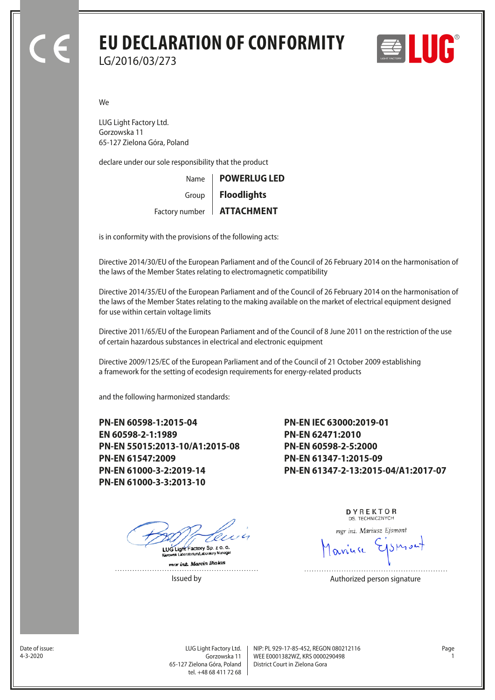## **EU DECLARATION OF CONFORMITY** LG/2016/03/273



We

LUG Light Factory Ltd. Gorzowska 11 65-127 Zielona Góra, Poland

declare under our sole responsibility that the product

| Name   POWERLUG LED         |
|-----------------------------|
| Group   Floodlights         |
| Factory number   ATTACHMENT |

is in conformity with the provisions of the following acts:

Directive 2014/30/EU of the European Parliament and of the Council of 26 February 2014 on the harmonisation of the laws of the Member States relating to electromagnetic compatibility

Directive 2014/35/EU of the European Parliament and of the Council of 26 February 2014 on the harmonisation of the laws of the Member States relating to the making available on the market of electrical equipment designed for use within certain voltage limits

Directive 2011/65/EU of the European Parliament and of the Council of 8 June 2011 on the restriction of the use of certain hazardous substances in electrical and electronic equipment

Directive 2009/125/EC of the European Parliament and of the Council of 21 October 2009 establishing a framework for the setting of ecodesign requirements for energy-related products

and the following harmonized standards:

**PN-EN 60598-1:2015-04 EN 60598-2-1:1989 PN-EN 55015:2013-10/A1:2015-08 PN-EN 61547:2009 PN-EN 61000-3-2:2019-14 PN-EN 61000-3-3:2013-10**

**PN-EN IEC 63000:2019-01 PN-EN 62471:2010 PN-EN 60598-2-5:2000 PN-EN 61347-1:2015-09 PN-EN 61347-2-13:2015-04/A1:2017-07**

ry Sp. z o. o. LUG Light Fact

.<br>Amunicipale

mar inz. Marcin Bialas

DYREKTOR DS. TECHNICZNYCH

mgr inż. Mariusz Ejsmont

anuse

Issued by **Authorized person signature** 

Date of issue:<br>4-3-2020

Gorzowska 11 65-127 Zielona Góra, Poland tel. +48 68 411 72 68

LUG Light Factory Ltd. Page NIP: PL 929-17-85-452, REGON 080212116 WEE E0001382WZ, KRS 0000290498 4-3-2020 1 District Court in Zielona Gora